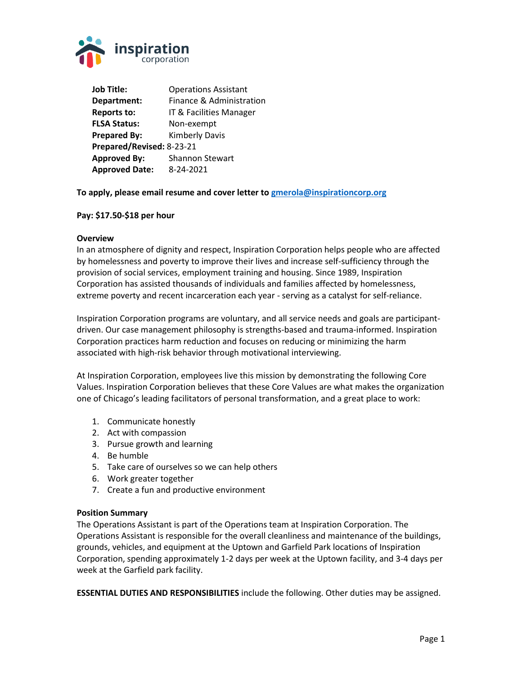

**Job Title:** Operations Assistant **Department:** Finance & Administration **Reports to:** IT & Facilities Manager **FLSA Status:** Non-exempt **Prepared By:** Kimberly Davis **Prepared/Revised:** 8-23-21 **Approved By:** Shannon Stewart **Approved Date:** 8-24-2021

# **To apply, please email resume and cover letter to [gmerola@inspirationcorp.org](mailto:gmerola@inspirationcorp.org)**

### **Pay: \$17.50-\$18 per hour**

## **Overview**

In an atmosphere of dignity and respect, Inspiration Corporation helps people who are affected by homelessness and poverty to improve their lives and increase self-sufficiency through the provision of social services, employment training and housing. Since 1989, Inspiration Corporation has assisted thousands of individuals and families affected by homelessness, extreme poverty and recent incarceration each year - serving as a catalyst for self-reliance.

Inspiration Corporation programs are voluntary, and all service needs and goals are participantdriven. Our case management philosophy is strengths-based and trauma-informed. Inspiration Corporation practices harm reduction and focuses on reducing or minimizing the harm associated with high-risk behavior through motivational interviewing.

At Inspiration Corporation, employees live this mission by demonstrating the following Core Values. Inspiration Corporation believes that these Core Values are what makes the organization one of Chicago's leading facilitators of personal transformation, and a great place to work:

- 1. Communicate honestly
- 2. Act with compassion
- 3. Pursue growth and learning
- 4. Be humble
- 5. Take care of ourselves so we can help others
- 6. Work greater together
- 7. Create a fun and productive environment

### **Position Summary**

The Operations Assistant is part of the Operations team at Inspiration Corporation. The Operations Assistant is responsible for the overall cleanliness and maintenance of the buildings, grounds, vehicles, and equipment at the Uptown and Garfield Park locations of Inspiration Corporation, spending approximately 1-2 days per week at the Uptown facility, and 3-4 days per week at the Garfield park facility.

**ESSENTIAL DUTIES AND RESPONSIBILITIES** include the following. Other duties may be assigned.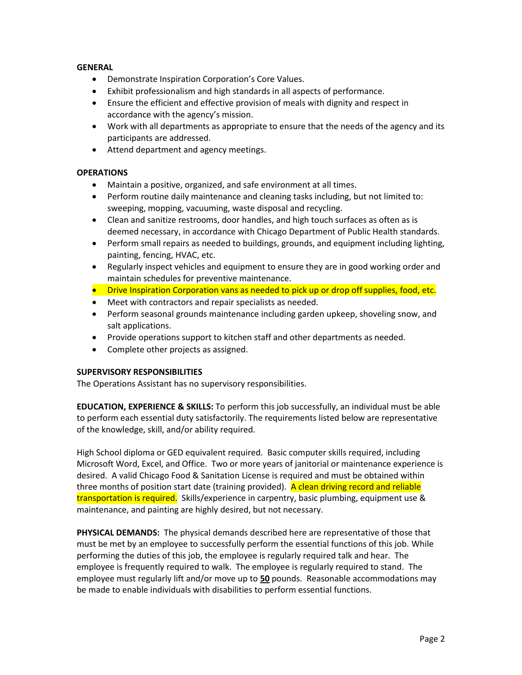# **GENERAL**

- Demonstrate Inspiration Corporation's Core Values.
- Exhibit professionalism and high standards in all aspects of performance.
- Ensure the efficient and effective provision of meals with dignity and respect in accordance with the agency's mission.
- Work with all departments as appropriate to ensure that the needs of the agency and its participants are addressed.
- Attend department and agency meetings.

# **OPERATIONS**

- Maintain a positive, organized, and safe environment at all times.
- Perform routine daily maintenance and cleaning tasks including, but not limited to: sweeping, mopping, vacuuming, waste disposal and recycling.
- Clean and sanitize restrooms, door handles, and high touch surfaces as often as is deemed necessary, in accordance with Chicago Department of Public Health standards.
- Perform small repairs as needed to buildings, grounds, and equipment including lighting, painting, fencing, HVAC, etc.
- Regularly inspect vehicles and equipment to ensure they are in good working order and maintain schedules for preventive maintenance.
- Drive Inspiration Corporation vans as needed to pick up or drop off supplies, food, etc.
- Meet with contractors and repair specialists as needed.
- Perform seasonal grounds maintenance including garden upkeep, shoveling snow, and salt applications.
- Provide operations support to kitchen staff and other departments as needed.
- Complete other projects as assigned.

# **SUPERVISORY RESPONSIBILITIES**

The Operations Assistant has no supervisory responsibilities.

**EDUCATION, EXPERIENCE & SKILLS:** To perform this job successfully, an individual must be able to perform each essential duty satisfactorily. The requirements listed below are representative of the knowledge, skill, and/or ability required.

High School diploma or GED equivalent required. Basic computer skills required, including Microsoft Word, Excel, and Office. Two or more years of janitorial or maintenance experience is desired. A valid Chicago Food & Sanitation License is required and must be obtained within three months of position start date (training provided). A clean driving record and reliable transportation is required. Skills/experience in carpentry, basic plumbing, equipment use & maintenance, and painting are highly desired, but not necessary.

**PHYSICAL DEMANDS:** The physical demands described here are representative of those that must be met by an employee to successfully perform the essential functions of this job. While performing the duties of this job, the employee is regularly required talk and hear. The employee is frequently required to walk. The employee is regularly required to stand. The employee must regularly lift and/or move up to **50** pounds. Reasonable accommodations may be made to enable individuals with disabilities to perform essential functions.